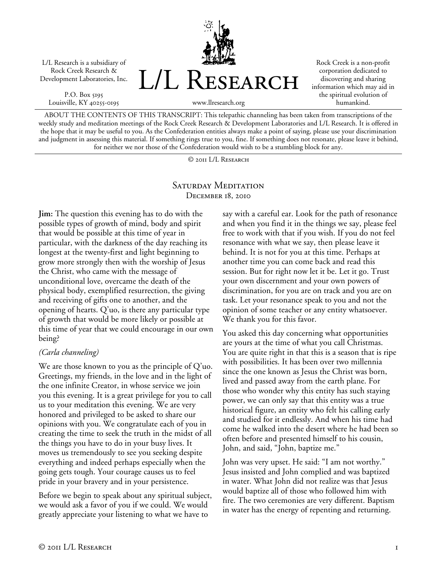L/L Research is a subsidiary of Rock Creek Research & Development Laboratories, Inc.

P.O. Box 5195 Louisville, KY 40255-0195



Rock Creek is a non-profit corporation dedicated to discovering and sharing information which may aid in the spiritual evolution of humankind.

ABOUT THE CONTENTS OF THIS TRANSCRIPT: This telepathic channeling has been taken from transcriptions of the weekly study and meditation meetings of the Rock Creek Research & Development Laboratories and L/L Research. It is offered in the hope that it may be useful to you. As the Confederation entities always make a point of saying, please use your discrimination and judgment in assessing this material. If something rings true to you, fine. If something does not resonate, please leave it behind, for neither we nor those of the Confederation would wish to be a stumbling block for any.

© 2011 L/L Research

## SATURDAY MEDITATION December 18, 2010

**Jim:** The question this evening has to do with the possible types of growth of mind, body and spirit that would be possible at this time of year in particular, with the darkness of the day reaching its longest at the twenty-first and light beginning to grow more strongly then with the worship of Jesus the Christ, who came with the message of unconditional love, overcame the death of the physical body, exemplified resurrection, the giving and receiving of gifts one to another, and the opening of hearts. Q'uo, is there any particular type of growth that would be more likely or possible at this time of year that we could encourage in our own being?

## *(Carla channeling)*

We are those known to you as the principle of Q'uo. Greetings, my friends, in the love and in the light of the one infinite Creator, in whose service we join you this evening. It is a great privilege for you to call us to your meditation this evening. We are very honored and privileged to be asked to share our opinions with you. We congratulate each of you in creating the time to seek the truth in the midst of all the things you have to do in your busy lives. It moves us tremendously to see you seeking despite everything and indeed perhaps especially when the going gets tough. Your courage causes us to feel pride in your bravery and in your persistence.

Before we begin to speak about any spiritual subject, we would ask a favor of you if we could. We would greatly appreciate your listening to what we have to

say with a careful ear. Look for the path of resonance and when you find it in the things we say, please feel free to work with that if you wish. If you do not feel resonance with what we say, then please leave it behind. It is not for you at this time. Perhaps at another time you can come back and read this session. But for right now let it be. Let it go. Trust your own discernment and your own powers of discrimination, for you are on track and you are on task. Let your resonance speak to you and not the opinion of some teacher or any entity whatsoever. We thank you for this favor.

You asked this day concerning what opportunities are yours at the time of what you call Christmas. You are quite right in that this is a season that is ripe with possibilities. It has been over two millennia since the one known as Jesus the Christ was born, lived and passed away from the earth plane. For those who wonder why this entity has such staying power, we can only say that this entity was a true historical figure, an entity who felt his calling early and studied for it endlessly. And when his time had come he walked into the desert where he had been so often before and presented himself to his cousin, John, and said, "John, baptize me."

John was very upset. He said: "I am not worthy." Jesus insisted and John complied and was baptized in water. What John did not realize was that Jesus would baptize all of those who followed him with fire. The two ceremonies are very different. Baptism in water has the energy of repenting and returning.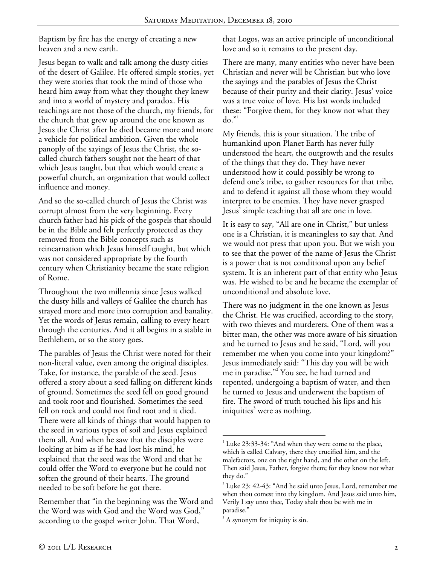Baptism by fire has the energy of creating a new heaven and a new earth.

Jesus began to walk and talk among the dusty cities of the desert of Galilee. He offered simple stories, yet they were stories that took the mind of those who heard him away from what they thought they knew and into a world of mystery and paradox. His teachings are not those of the church, my friends, for the church that grew up around the one known as Jesus the Christ after he died became more and more a vehicle for political ambition. Given the whole panoply of the sayings of Jesus the Christ, the socalled church fathers sought not the heart of that which Jesus taught, but that which would create a powerful church, an organization that would collect influence and money.

And so the so-called church of Jesus the Christ was corrupt almost from the very beginning. Every church father had his pick of the gospels that should be in the Bible and felt perfectly protected as they removed from the Bible concepts such as reincarnation which Jesus himself taught, but which was not considered appropriate by the fourth century when Christianity became the state religion of Rome.

Throughout the two millennia since Jesus walked the dusty hills and valleys of Galilee the church has strayed more and more into corruption and banality. Yet the words of Jesus remain, calling to every heart through the centuries. And it all begins in a stable in Bethlehem, or so the story goes.

The parables of Jesus the Christ were noted for their non-literal value, even among the original disciples. Take, for instance, the parable of the seed. Jesus offered a story about a seed falling on different kinds of ground. Sometimes the seed fell on good ground and took root and flourished. Sometimes the seed fell on rock and could not find root and it died. There were all kinds of things that would happen to the seed in various types of soil and Jesus explained them all. And when he saw that the disciples were looking at him as if he had lost his mind, he explained that the seed was the Word and that he could offer the Word to everyone but he could not soften the ground of their hearts. The ground needed to be soft before he got there.

Remember that "in the beginning was the Word and the Word was with God and the Word was God," according to the gospel writer John. That Word,

that Logos, was an active principle of unconditional love and so it remains to the present day.

There are many, many entities who never have been Christian and never will be Christian but who love the sayings and the parables of Jesus the Christ because of their purity and their clarity. Jesus' voice was a true voice of love. His last words included these: "Forgive them, for they know not what they  $do.<sup>1</sup>$ 

My friends, this is your situation. The tribe of humankind upon Planet Earth has never fully understood the heart, the outgrowth and the results of the things that they do. They have never understood how it could possibly be wrong to defend one's tribe, to gather resources for that tribe, and to defend it against all those whom they would interpret to be enemies. They have never grasped Jesus' simple teaching that all are one in love.

It is easy to say, "All are one in Christ," but unless one is a Christian, it is meaningless to say that. And we would not press that upon you. But we wish you to see that the power of the name of Jesus the Christ is a power that is not conditional upon any belief system. It is an inherent part of that entity who Jesus was. He wished to be and he became the exemplar of unconditional and absolute love.

There was no judgment in the one known as Jesus the Christ. He was crucified, according to the story, with two thieves and murderers. One of them was a bitter man, the other was more aware of his situation and he turned to Jesus and he said, "Lord, will you remember me when you come into your kingdom?" Jesus immediately said: "This day you will be with me in paradise."<sup>2</sup> You see, he had turned and repented, undergoing a baptism of water, and then he turned to Jesus and underwent the baptism of fire. The sword of truth touched his lips and his iniquities $3$  were as nothing.

 $\overline{a}$ <sup>1</sup> Luke 23:33-34: "And when they were come to the place, which is called Calvary, there they crucified him, and the malefactors, one on the right hand, and the other on the left. Then said Jesus, Father, forgive them; for they know not what they do."

 $2^2$  Luke 23: 42-43: "And he said unto Jesus, Lord, remember me when thou comest into thy kingdom. And Jesus said unto him, Verily I say unto thee, Today shalt thou be with me in paradise."

 $3$  A synonym for iniquity is sin.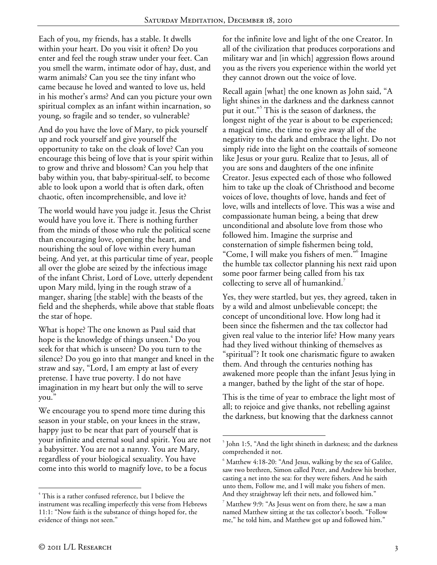$\overline{a}$ 

Each of you, my friends, has a stable. It dwells within your heart. Do you visit it often? Do you enter and feel the rough straw under your feet. Can you smell the warm, intimate odor of hay, dust, and warm animals? Can you see the tiny infant who came because he loved and wanted to love us, held in his mother's arms? And can you picture your own spiritual complex as an infant within incarnation, so young, so fragile and so tender, so vulnerable?

And do you have the love of Mary, to pick yourself up and rock yourself and give yourself the opportunity to take on the cloak of love? Can you encourage this being of love that is your spirit within to grow and thrive and blossom? Can you help that baby within you, that baby-spiritual-self, to become able to look upon a world that is often dark, often chaotic, often incomprehensible, and love it?

The world would have you judge it. Jesus the Christ would have you love it. There is nothing further from the minds of those who rule the political scene than encouraging love, opening the heart, and nourishing the soul of love within every human being. And yet, at this particular time of year, people all over the globe are seized by the infectious image of the infant Christ, Lord of Love, utterly dependent upon Mary mild, lying in the rough straw of a manger, sharing [the stable] with the beasts of the field and the shepherds, while above that stable floats the star of hope.

What is hope? The one known as Paul said that hope is the knowledge of things unseen.<sup>4</sup> Do you seek for that which is unseen? Do you turn to the silence? Do you go into that manger and kneel in the straw and say, "Lord, I am empty at last of every pretense. I have true poverty. I do not have imagination in my heart but only the will to serve you."

We encourage you to spend more time during this season in your stable, on your knees in the straw, happy just to be near that part of yourself that is your infinite and eternal soul and spirit. You are not a babysitter. You are not a nanny. You are Mary, regardless of your biological sexuality. You have come into this world to magnify love, to be a focus

for the infinite love and light of the one Creator. In all of the civilization that produces corporations and military war and [in which] aggression flows around you as the rivers you experience within the world yet they cannot drown out the voice of love.

Recall again [what] the one known as John said, "A light shines in the darkness and the darkness cannot put it out."<sup>5</sup> This is the season of darkness, the longest night of the year is about to be experienced; a magical time, the time to give away all of the negativity to the dark and embrace the light. Do not simply ride into the light on the coattails of someone like Jesus or your guru. Realize that to Jesus, all of you are sons and daughters of the one infinite Creator. Jesus expected each of those who followed him to take up the cloak of Christhood and become voices of love, thoughts of love, hands and feet of love, wills and intellects of love. This was a wise and compassionate human being, a being that drew unconditional and absolute love from those who followed him. Imagine the surprise and consternation of simple fishermen being told, "Come, I will make you fishers of men."<sup>6</sup> Imagine the humble tax collector planning his next raid upon some poor farmer being called from his tax collecting to serve all of humankind.<sup>7</sup>

Yes, they were startled, but yes, they agreed, taken in by a wild and almost unbelievable concept; the concept of unconditional love. How long had it been since the fishermen and the tax collector had given real value to the interior life? How many years had they lived without thinking of themselves as "spiritual"? It took one charismatic figure to awaken them. And through the centuries nothing has awakened more people than the infant Jesus lying in a manger, bathed by the light of the star of hope.

This is the time of year to embrace the light most of all; to rejoice and give thanks, not rebelling against the darkness, but knowing that the darkness cannot

 $\overline{a}$ 

<sup>4</sup> This is a rather confused reference, but I believe the instrument was recalling imperfectly this verse from Hebrews 11:1: "Now faith is the substance of things hoped for, the evidence of things not seen."

<sup>&</sup>lt;sup>5</sup> John 1:5, "And the light shineth in darkness; and the darkness comprehended it not.

 $6$  Matthew 4:18-20: "And Jesus, walking by the sea of Galilee, saw two brethren, Simon called Peter, and Andrew his brother, casting a net into the sea: for they were fishers. And he saith unto them, Follow me, and I will make you fishers of men. And they straightway left their nets, and followed him."

 $^7$  Matthew 9:9: "As Jesus went on from there, he saw a man named Matthew sitting at the tax collector's booth. "Follow me," he told him, and Matthew got up and followed him."